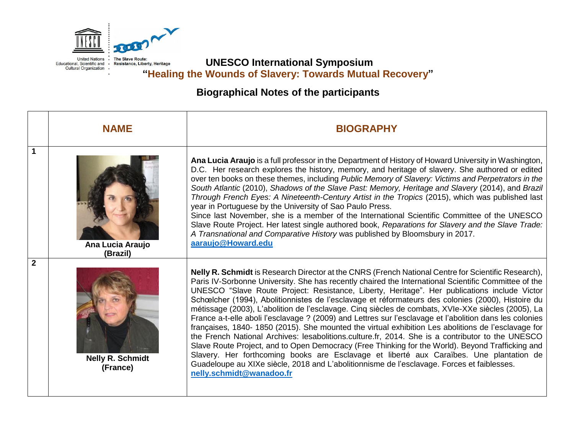

**UNESCO International Symposium "Healing the Wounds of Slavery: Towards Mutual Recovery"**

# **Biographical Notes of the participants**

|                | <b>NAME</b>                         | <b>BIOGRAPHY</b>                                                                                                                                                                                                                                                                                                                                                                                                                                                                                                                                                                                                                                                                                                                                                                                                                                                                                                                                                                                                                                                                                                                                                      |
|----------------|-------------------------------------|-----------------------------------------------------------------------------------------------------------------------------------------------------------------------------------------------------------------------------------------------------------------------------------------------------------------------------------------------------------------------------------------------------------------------------------------------------------------------------------------------------------------------------------------------------------------------------------------------------------------------------------------------------------------------------------------------------------------------------------------------------------------------------------------------------------------------------------------------------------------------------------------------------------------------------------------------------------------------------------------------------------------------------------------------------------------------------------------------------------------------------------------------------------------------|
| 1              | Ana Lucia Araujo<br>(Brazil)        | Ana Lucia Araujo is a full professor in the Department of History of Howard University in Washington,<br>D.C. Her research explores the history, memory, and heritage of slavery. She authored or edited<br>over ten books on these themes, including Public Memory of Slavery: Victims and Perpetrators in the<br>South Atlantic (2010), Shadows of the Slave Past: Memory, Heritage and Slavery (2014), and Brazil<br>Through French Eyes: A Nineteenth-Century Artist in the Tropics (2015), which was published last<br>year in Portuguese by the University of Sao Paulo Press.<br>Since last November, she is a member of the International Scientific Committee of the UNESCO<br>Slave Route Project. Her latest single authored book, Reparations for Slavery and the Slave Trade:<br>A Transnational and Comparative History was published by Bloomsbury in 2017.<br>aaraujo@Howard.edu                                                                                                                                                                                                                                                                      |
| $\overline{2}$ | <b>Nelly R. Schmidt</b><br>(France) | Nelly R. Schmidt is Research Director at the CNRS (French National Centre for Scientific Research),<br>Paris IV-Sorbonne University. She has recently chaired the International Scientific Committee of the<br>UNESCO "Slave Route Project: Resistance, Liberty, Heritage". Her publications include Victor<br>Schœlcher (1994), Abolitionnistes de l'esclavage et réformateurs des colonies (2000), Histoire du<br>métissage (2003), L'abolition de l'esclavage. Cinq siècles de combats, XVIe-XXe siècles (2005), La<br>France a-t-elle aboli l'esclavage ? (2009) and Lettres sur l'esclavage et l'abolition dans les colonies<br>françaises, 1840- 1850 (2015). She mounted the virtual exhibition Les abolitions de l'esclavage for<br>the French National Archives: lesabolitions.culture.fr, 2014. She is a contributor to the UNESCO<br>Slave Route Project, and to Open Democracy (Free Thinking for the World). Beyond Trafficking and<br>Slavery. Her forthcoming books are Esclavage et liberté aux Caraïbes. Une plantation de<br>Guadeloupe au XIXe siècle, 2018 and L'abolitionnisme de l'esclavage. Forces et faiblesses.<br>nelly.schmidt@wanadoo.fr |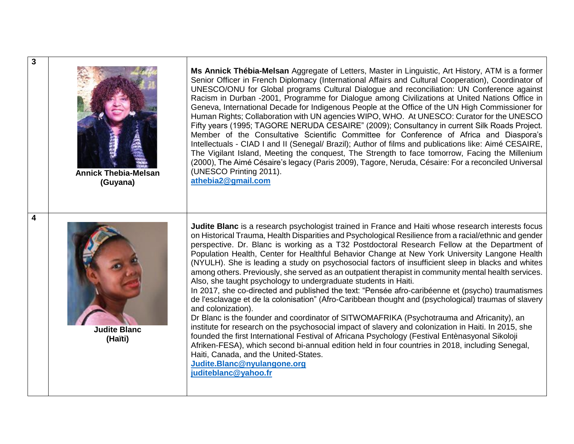| 3 | <b>Annick Thebia-Melsan</b><br>(Guyana) | Ms Annick Thébia-Melsan Aggregate of Letters, Master in Linguistic, Art History, ATM is a former<br>Senior Officer in French Diplomacy (International Affairs and Cultural Cooperation), Coordinator of<br>UNESCO/ONU for Global programs Cultural Dialogue and reconciliation: UN Conference against<br>Racism in Durban -2001, Programme for Dialogue among Civilizations at United Nations Office in<br>Geneva, International Decade for Indigenous People at the Office of the UN High Commissioner for<br>Human Rights; Collaboration with UN agencies WIPO, WHO. At UNESCO: Curator for the UNESCO<br>Fifty years (1995; TAGORE NERUDA CESAIRE" (2009); Consultancy in current Silk Roads Project.<br>Member of the Consultative Scientific Committee for Conference of Africa and Diaspora's<br>Intellectuals - CIAD I and II (Senegal/ Brazil); Author of films and publications like: Aimé CESAIRE,<br>The Vigilant Island, Meeting the conquest, The Strength to face tomorrow, Facing the Millenium<br>(2000), The Aimé Césaire's legacy (Paris 2009), Tagore, Neruda, Césaire: For a reconciled Universal<br>(UNESCO Printing 2011).<br>athebia2@gmail.com                                                                                                                                                                                                                                                                              |
|---|-----------------------------------------|-----------------------------------------------------------------------------------------------------------------------------------------------------------------------------------------------------------------------------------------------------------------------------------------------------------------------------------------------------------------------------------------------------------------------------------------------------------------------------------------------------------------------------------------------------------------------------------------------------------------------------------------------------------------------------------------------------------------------------------------------------------------------------------------------------------------------------------------------------------------------------------------------------------------------------------------------------------------------------------------------------------------------------------------------------------------------------------------------------------------------------------------------------------------------------------------------------------------------------------------------------------------------------------------------------------------------------------------------------------------------------------------------------------------------------------------------------|
| 4 | <b>Judite Blanc</b><br>(Haïti)          | <b>Judite Blanc</b> is a research psychologist trained in France and Haiti whose research interests focus<br>on Historical Trauma, Health Disparities and Psychological Resilience from a racial/ethnic and gender<br>perspective. Dr. Blanc is working as a T32 Postdoctoral Research Fellow at the Department of<br>Population Health, Center for Healthful Behavior Change at New York University Langone Health<br>(NYULH). She is leading a study on psychosocial factors of insufficient sleep in blacks and whites<br>among others. Previously, she served as an outpatient therapist in community mental health services.<br>Also, she taught psychology to undergraduate students in Haiti.<br>In 2017, she co-directed and published the text: "Pensée afro-caribéenne et (psycho) traumatismes<br>de l'esclavage et de la colonisation" (Afro-Caribbean thought and (psychological) traumas of slavery<br>and colonization).<br>Dr Blanc is the founder and coordinator of SITWOMAFRIKA (Psychotrauma and Africanity), an<br>institute for research on the psychosocial impact of slavery and colonization in Haiti. In 2015, she<br>founded the first International Festival of Africana Psychology (Festival Entenasyonal Sikoloji<br>Afriken-FESA), which second bi-annual edition held in four countries in 2018, including Senegal,<br>Haiti, Canada, and the United-States.<br>Judite.Blanc@nyulangone.org<br>juditeblanc@yahoo.fr |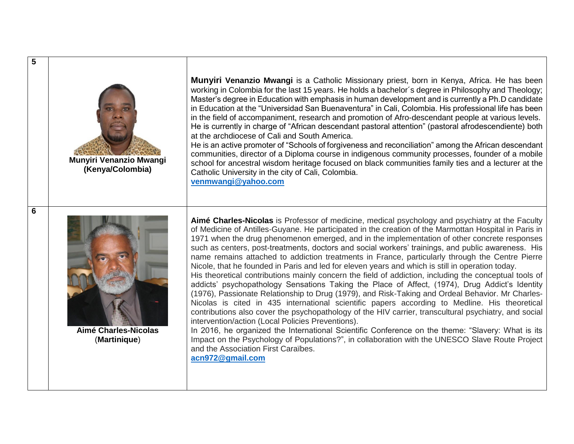

**5**

**6**

**Munyiri Venanzio Mwangi (Kenya/Colombia)**

**Munyiri Venanzio Mwangi** is a Catholic Missionary priest, born in Kenya, Africa. He has been working in Colombia for the last 15 years. He holds a bachelor´s degree in Philosophy and Theology; Master's degree in Education with emphasis in human development and is currently a Ph.D candidate in Education at the "Universidad San Buenaventura" in Cali, Colombia. His professional life has been in the field of accompaniment, research and promotion of Afro-descendant people at various levels. He is currently in charge of "African descendant pastoral attention" (pastoral afrodescendiente) both at the archdiocese of Cali and South America.

He is an active promoter of "Schools of forgiveness and reconciliation" among the African descendant communities, director of a Diploma course in indigenous community processes, founder of a mobile school for ancestral wisdom heritage focused on black communities family ties and a lecturer at the Catholic University in the city of Cali, Colombia.

**[venmwangi@yahoo.com](mailto:venmwangi@yahoo.com)**



**Aimé Charles-Nicolas** (**Martinique**)

**Aimé Charles-Nicolas** is Professor of medicine, medical psychology and psychiatry at the Faculty of Medicine of Antilles-Guyane. He participated in the creation of the Marmottan Hospital in Paris in 1971 when the drug phenomenon emerged, and in the implementation of other concrete responses such as centers, post-treatments, doctors and social workers' trainings, and public awareness. His name remains attached to addiction treatments in France, particularly through the Centre Pierre Nicole, that he founded in Paris and led for eleven years and which is still in operation today. His theoretical contributions mainly concern the field of addiction, including the conceptual tools of addicts' psychopathology Sensations Taking the Place of Affect, (1974), Drug Addict's Identity (1976), Passionate Relationship to Drug (1979), and Risk-Taking and Ordeal Behavior. Mr Charles-Nicolas is cited in 435 international scientific papers according to Medline. His theoretical contributions also cover the psychopathology of the HIV carrier, transcultural psychiatry, and social intervention/action (Local Policies Preventions).

In 2016, he organized the International Scientific Conference on the theme: "Slavery: What is its Impact on the Psychology of Populations?", in collaboration with the UNESCO Slave Route Project and the Association First Caraïbes.

**[acn972@gmail.com](mailto:acn972@gmail.com)**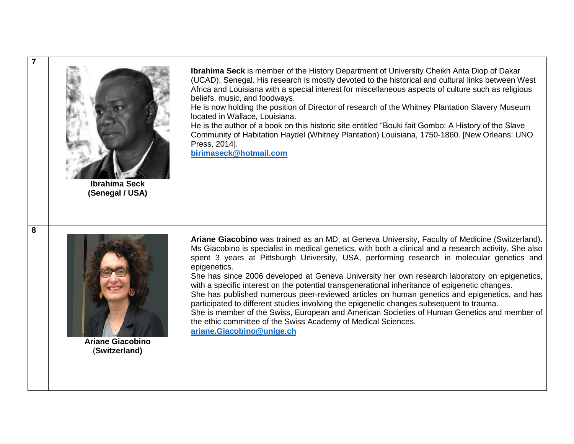|   | <b>Ibrahima Seck</b><br>(Senegal / USA)  | <b>Ibrahima Seck</b> is member of the History Department of University Cheikh Anta Diop of Dakar<br>(UCAD), Senegal. His research is mostly devoted to the historical and cultural links between West<br>Africa and Louisiana with a special interest for miscellaneous aspects of culture such as religious<br>beliefs, music, and foodways.<br>He is now holding the position of Director of research of the Whitney Plantation Slavery Museum<br>located in Wallace, Louisiana.<br>He is the author of a book on this historic site entitled "Bouki fait Gombo: A History of the Slave<br>Community of Habitation Haydel (Whitney Plantation) Louisiana, 1750-1860. [New Orleans: UNO<br>Press, 2014].<br>birimaseck@hotmail.com                                                                                                                                                                                 |
|---|------------------------------------------|---------------------------------------------------------------------------------------------------------------------------------------------------------------------------------------------------------------------------------------------------------------------------------------------------------------------------------------------------------------------------------------------------------------------------------------------------------------------------------------------------------------------------------------------------------------------------------------------------------------------------------------------------------------------------------------------------------------------------------------------------------------------------------------------------------------------------------------------------------------------------------------------------------------------|
| 8 | <b>Ariane Giacobino</b><br>(Switzerland) | Ariane Giacobino was trained as an MD, at Geneva University, Faculty of Medicine (Switzerland).<br>Ms Giacobino is specialist in medical genetics, with both a clinical and a research activity. She also<br>spent 3 years at Pittsburgh University, USA, performing research in molecular genetics and<br>epigenetics.<br>She has since 2006 developed at Geneva University her own research laboratory on epigenetics,<br>with a specific interest on the potential transgenerational inheritance of epigenetic changes.<br>She has published numerous peer-reviewed articles on human genetics and epigenetics, and has<br>participated to different studies involving the epigenetic changes subsequent to trauma.<br>She is member of the Swiss, European and American Societies of Human Genetics and member of<br>the ethic committee of the Swiss Academy of Medical Sciences.<br>ariane.Giacobino@unige.ch |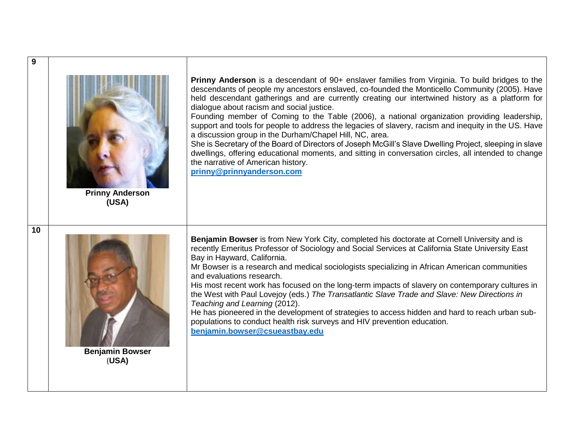| 9  |                                 |                                                                                                                                                                                                                                                                                                                                                                                                                                                                                                                                                                                                                                                                                                                                                                                                                                                                                                                  |
|----|---------------------------------|------------------------------------------------------------------------------------------------------------------------------------------------------------------------------------------------------------------------------------------------------------------------------------------------------------------------------------------------------------------------------------------------------------------------------------------------------------------------------------------------------------------------------------------------------------------------------------------------------------------------------------------------------------------------------------------------------------------------------------------------------------------------------------------------------------------------------------------------------------------------------------------------------------------|
|    | <b>Prinny Anderson</b><br>(USA) | <b>Prinny Anderson</b> is a descendant of 90+ enslaver families from Virginia. To build bridges to the<br>descendants of people my ancestors enslaved, co-founded the Monticello Community (2005). Have<br>held descendant gatherings and are currently creating our intertwined history as a platform for<br>dialogue about racism and social justice.<br>Founding member of Coming to the Table (2006), a national organization providing leadership,<br>support and tools for people to address the legacies of slavery, racism and inequity in the US. Have<br>a discussion group in the Durham/Chapel Hill, NC, area.<br>She is Secretary of the Board of Directors of Joseph McGill's Slave Dwelling Project, sleeping in slave<br>dwellings, offering educational moments, and sitting in conversation circles, all intended to change<br>the narrative of American history.<br>prinny@prinnyanderson.com |
| 10 | <b>Benjamin Bowser</b><br>(USA) | Benjamin Bowser is from New York City, completed his doctorate at Cornell University and is<br>recently Emeritus Professor of Sociology and Social Services at California State University East<br>Bay in Hayward, California.<br>Mr Bowser is a research and medical sociologists specializing in African American communities<br>and evaluations research.<br>His most recent work has focused on the long-term impacts of slavery on contemporary cultures in<br>the West with Paul Lovejoy (eds.) The Transatlantic Slave Trade and Slave: New Directions in<br>Teaching and Learning (2012).<br>He has pioneered in the development of strategies to access hidden and hard to reach urban sub-<br>populations to conduct health risk surveys and HIV prevention education.<br>benjamin.bowser@csueastbay.edu                                                                                               |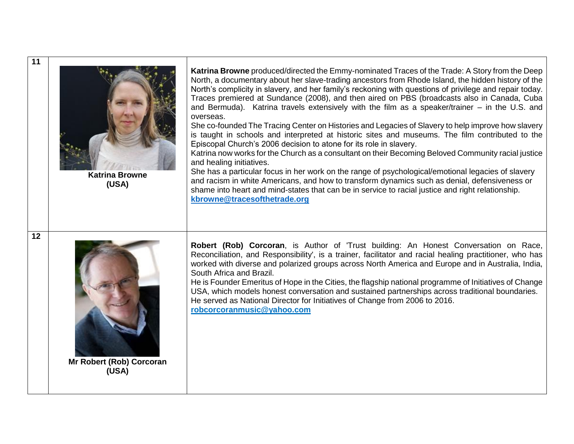| 11 | <b>Katrina Browne</b><br>(USA)    | Katrina Browne produced/directed the Emmy-nominated Traces of the Trade: A Story from the Deep<br>North, a documentary about her slave-trading ancestors from Rhode Island, the hidden history of the<br>North's complicity in slavery, and her family's reckoning with questions of privilege and repair today.<br>Traces premiered at Sundance (2008), and then aired on PBS (broadcasts also in Canada, Cuba<br>and Bermuda). Katrina travels extensively with the film as a speaker/trainer – in the U.S. and<br>overseas.<br>She co-founded The Tracing Center on Histories and Legacies of Slavery to help improve how slavery<br>is taught in schools and interpreted at historic sites and museums. The film contributed to the<br>Episcopal Church's 2006 decision to atone for its role in slavery.<br>Katrina now works for the Church as a consultant on their Becoming Beloved Community racial justice<br>and healing initiatives.<br>She has a particular focus in her work on the range of psychological/emotional legacies of slavery<br>and racism in white Americans, and how to transform dynamics such as denial, defensiveness or<br>shame into heart and mind-states that can be in service to racial justice and right relationship.<br>kbrowne@tracesofthetrade.org |
|----|-----------------------------------|----------------------------------------------------------------------------------------------------------------------------------------------------------------------------------------------------------------------------------------------------------------------------------------------------------------------------------------------------------------------------------------------------------------------------------------------------------------------------------------------------------------------------------------------------------------------------------------------------------------------------------------------------------------------------------------------------------------------------------------------------------------------------------------------------------------------------------------------------------------------------------------------------------------------------------------------------------------------------------------------------------------------------------------------------------------------------------------------------------------------------------------------------------------------------------------------------------------------------------------------------------------------------------------------|
| 12 | Mr Robert (Rob) Corcoran<br>(USA) | Robert (Rob) Corcoran, is Author of 'Trust building: An Honest Conversation on Race,<br>Reconciliation, and Responsibility', is a trainer, facilitator and racial healing practitioner, who has<br>worked with diverse and polarized groups across North America and Europe and in Australia, India,<br>South Africa and Brazil.<br>He is Founder Emeritus of Hope in the Cities, the flagship national programme of Initiatives of Change<br>USA, which models honest conversation and sustained partnerships across traditional boundaries.<br>He served as National Director for Initiatives of Change from 2006 to 2016.<br>robcorcoranmusic@yahoo.com                                                                                                                                                                                                                                                                                                                                                                                                                                                                                                                                                                                                                                   |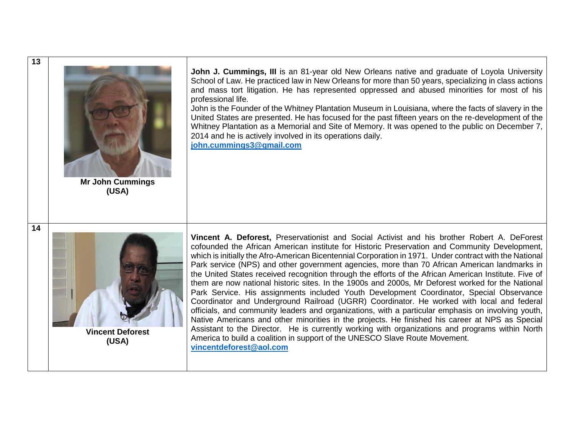| 13 | <b>Mr John Cummings</b><br>(USA) | John J. Cummings, III is an 81-year old New Orleans native and graduate of Loyola University<br>School of Law. He practiced law in New Orleans for more than 50 years, specializing in class actions<br>and mass tort litigation. He has represented oppressed and abused minorities for most of his<br>professional life.<br>John is the Founder of the Whitney Plantation Museum in Louisiana, where the facts of slavery in the<br>United States are presented. He has focused for the past fifteen years on the re-development of the<br>Whitney Plantation as a Memorial and Site of Memory. It was opened to the public on December 7,<br>2014 and he is actively involved in its operations daily.<br>john.cummings3@gmail.com                                                                                                                                                                                                                                                                                                                                                                                                                                                                                                |
|----|----------------------------------|--------------------------------------------------------------------------------------------------------------------------------------------------------------------------------------------------------------------------------------------------------------------------------------------------------------------------------------------------------------------------------------------------------------------------------------------------------------------------------------------------------------------------------------------------------------------------------------------------------------------------------------------------------------------------------------------------------------------------------------------------------------------------------------------------------------------------------------------------------------------------------------------------------------------------------------------------------------------------------------------------------------------------------------------------------------------------------------------------------------------------------------------------------------------------------------------------------------------------------------|
| 14 | <b>Vincent Deforest</b><br>(USA) | Vincent A. Deforest, Preservationist and Social Activist and his brother Robert A. DeForest<br>cofounded the African American institute for Historic Preservation and Community Development,<br>which is initially the Afro-American Bicentennial Corporation in 1971. Under contract with the National<br>Park service (NPS) and other government agencies, more than 70 African American landmarks in<br>the United States received recognition through the efforts of the African American Institute. Five of<br>them are now national historic sites. In the 1900s and 2000s, Mr Deforest worked for the National<br>Park Service. His assignments included Youth Development Coordinator, Special Observance<br>Coordinator and Underground Railroad (UGRR) Coordinator. He worked with local and federal<br>officials, and community leaders and organizations, with a particular emphasis on involving youth,<br>Native Americans and other minorities in the projects. He finished his career at NPS as Special<br>Assistant to the Director. He is currently working with organizations and programs within North<br>America to build a coalition in support of the UNESCO Slave Route Movement.<br>vincentdeforest@aol.com |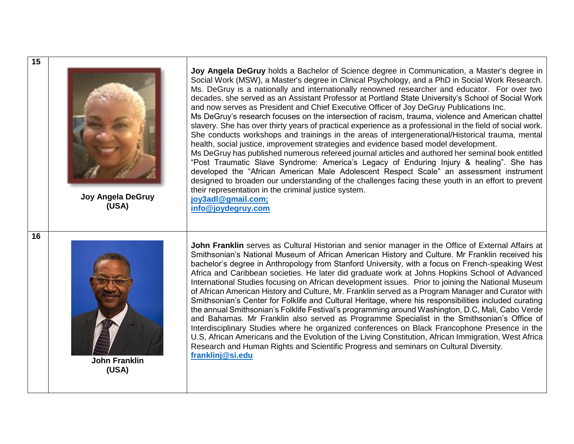| 15 | <b>Joy Angela DeGruy</b><br>(USA) | Joy Angela DeGruy holds a Bachelor of Science degree in Communication, a Master's degree in<br>Social Work (MSW), a Master's degree in Clinical Psychology, and a PhD in Social Work Research.<br>Ms. DeGruy is a nationally and internationally renowned researcher and educator. For over two<br>decades, she served as an Assistant Professor at Portland State University's School of Social Work<br>and now serves as President and Chief Executive Officer of Joy DeGruy Publications Inc.<br>Ms DeGruy's research focuses on the intersection of racism, trauma, violence and American chattel<br>slavery. She has over thirty years of practical experience as a professional in the field of social work.<br>She conducts workshops and trainings in the areas of intergenerational/Historical trauma, mental<br>health, social justice, improvement strategies and evidence based model development.<br>Ms DeGruy has published numerous refereed journal articles and authored her seminal book entitled<br>"Post Traumatic Slave Syndrome: America's Legacy of Enduring Injury & healing". She has<br>developed the "African American Male Adolescent Respect Scale" an assessment instrument<br>designed to broaden our understanding of the challenges facing these youth in an effort to prevent<br>their representation in the criminal justice system.<br>joy3adl@gmail.com;<br>info@joydegruy.com |
|----|-----------------------------------|---------------------------------------------------------------------------------------------------------------------------------------------------------------------------------------------------------------------------------------------------------------------------------------------------------------------------------------------------------------------------------------------------------------------------------------------------------------------------------------------------------------------------------------------------------------------------------------------------------------------------------------------------------------------------------------------------------------------------------------------------------------------------------------------------------------------------------------------------------------------------------------------------------------------------------------------------------------------------------------------------------------------------------------------------------------------------------------------------------------------------------------------------------------------------------------------------------------------------------------------------------------------------------------------------------------------------------------------------------------------------------------------------------------------|
| 16 | <b>John Franklin</b><br>(USA)     | John Franklin serves as Cultural Historian and senior manager in the Office of External Affairs at<br>Smithsonian's National Museum of African American History and Culture. Mr Franklin received his<br>bachelor's degree in Anthropology from Stanford University, with a focus on French-speaking West<br>Africa and Caribbean societies. He later did graduate work at Johns Hopkins School of Advanced<br>International Studies focusing on African development issues. Prior to joining the National Museum<br>of African American History and Culture, Mr. Franklin served as a Program Manager and Curator with<br>Smithsonian's Center for Folklife and Cultural Heritage, where his responsibilities included curating<br>the annual Smithsonian's Folklife Festival's programming around Washington, D.C, Mali, Cabo Verde<br>and Bahamas. Mr Franklin also served as Programme Specialist in the Smithsonian's Office of<br>Interdisciplinary Studies where he organized conferences on Black Francophone Presence in the<br>U.S, African Americans and the Evolution of the Living Constitution, African Immigration, West Africa<br>Research and Human Rights and Scientific Progress and seminars on Cultural Diversity.<br>franklinj@si.edu                                                                                                                                                         |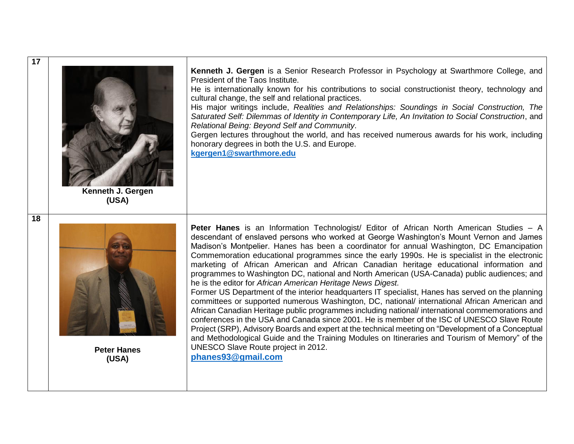| 17 | Kenneth J. Gergen<br>(USA)  | Kenneth J. Gergen is a Senior Research Professor in Psychology at Swarthmore College, and<br>President of the Taos Institute.<br>He is internationally known for his contributions to social constructionist theory, technology and<br>cultural change, the self and relational practices.<br>His major writings include, Realities and Relationships: Soundings in Social Construction, The<br>Saturated Self: Dilemmas of Identity in Contemporary Life, An Invitation to Social Construction, and<br>Relational Being: Beyond Self and Community.<br>Gergen lectures throughout the world, and has received numerous awards for his work, including<br>honorary degrees in both the U.S. and Europe.<br>kgergen1@swarthmore.edu                                                                                                                                                                                                                                                                                                                                                                                                                                                                                                                                                                                        |
|----|-----------------------------|---------------------------------------------------------------------------------------------------------------------------------------------------------------------------------------------------------------------------------------------------------------------------------------------------------------------------------------------------------------------------------------------------------------------------------------------------------------------------------------------------------------------------------------------------------------------------------------------------------------------------------------------------------------------------------------------------------------------------------------------------------------------------------------------------------------------------------------------------------------------------------------------------------------------------------------------------------------------------------------------------------------------------------------------------------------------------------------------------------------------------------------------------------------------------------------------------------------------------------------------------------------------------------------------------------------------------|
| 18 | <b>Peter Hanes</b><br>(USA) | Peter Hanes is an Information Technologist/ Editor of African North American Studies - A<br>descendant of enslaved persons who worked at George Washington's Mount Vernon and James<br>Madison's Montpelier. Hanes has been a coordinator for annual Washington, DC Emancipation<br>Commemoration educational programmes since the early 1990s. He is specialist in the electronic<br>marketing of African American and African Canadian heritage educational information and<br>programmes to Washington DC, national and North American (USA-Canada) public audiences; and<br>he is the editor for African American Heritage News Digest.<br>Former US Department of the interior headquarters IT specialist, Hanes has served on the planning<br>committees or supported numerous Washington, DC, national/ international African American and<br>African Canadian Heritage public programmes including national/ international commemorations and<br>conferences in the USA and Canada since 2001. He is member of the ISC of UNESCO Slave Route<br>Project (SRP), Advisory Boards and expert at the technical meeting on "Development of a Conceptual<br>and Methodological Guide and the Training Modules on Itineraries and Tourism of Memory" of the<br>UNESCO Slave Route project in 2012.<br>phanes93@gmail.com |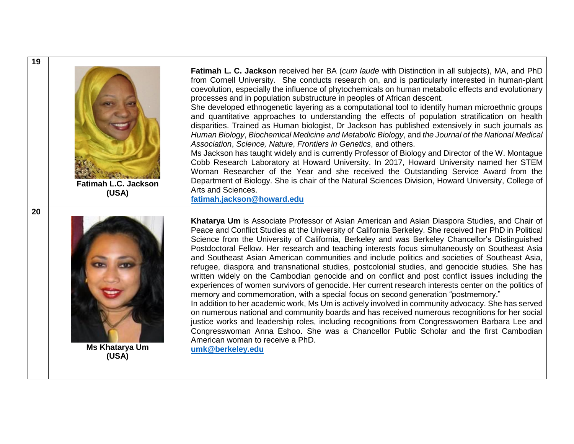

**Fatimah L.C. Jackson (USA)**



**Ms Khatarya Um (USA)**

**Fatimah L. C. Jackson** received her BA (*cum laude* with Distinction in all subjects), MA, and PhD from Cornell University. She conducts research on, and is particularly interested in human-plant coevolution, especially the influence of phytochemicals on human metabolic effects and evolutionary processes and in population substructure in peoples of African descent.

She developed ethnogenetic layering as a computational tool to identify human microethnic groups and quantitative approaches to understanding the effects of population stratification on health disparities. Trained as Human biologist, Dr Jackson has published extensively in such journals as *Human Biology*, *Biochemical Medicine and Metabolic Biology*, and *the Journal of the National Medical Association*, *Science, Nature*, *Frontiers in Genetics*, and others.

Ms Jackson has taught widely and is currently Professor of Biology and Director of the W. Montague Cobb Research Laboratory at Howard University. In 2017, Howard University named her STEM Woman Researcher of the Year and she received the Outstanding Service Award from the Department of Biology. She is chair of the Natural Sciences Division, Howard University, College of Arts and Sciences.

**[fatimah.jackson@howard.edu](mailto:fatimah.jackson@howard.edu)**

**Khatarya Um** is Associate Professor of Asian American and Asian Diaspora Studies, and Chair of Peace and Conflict Studies at the University of California Berkeley. She received her PhD in Political Science from the University of California, Berkeley and was Berkeley Chancellor's Distinguished Postdoctoral Fellow. Her research and teaching interests focus simultaneously on Southeast Asia and Southeast Asian American communities and include politics and societies of Southeast Asia, refugee, diaspora and transnational studies, postcolonial studies, and genocide studies. She has written widely on the Cambodian genocide and on conflict and post conflict issues including the experiences of women survivors of genocide. Her current research interests center on the politics of memory and commemoration, with a special focus on second generation "postmemory."

In addition to her academic work, Ms Um is actively involved in community advocacy. She has served on numerous national and community boards and has received numerous recognitions for her social justice works and leadership roles, including recognitions from Congresswomen Barbara Lee and Congresswoman Anna Eshoo. She was a Chancellor Public Scholar and the first Cambodian American woman to receive a PhD.

**[umk@berkeley.edu](mailto:umk@berkeley.edu)**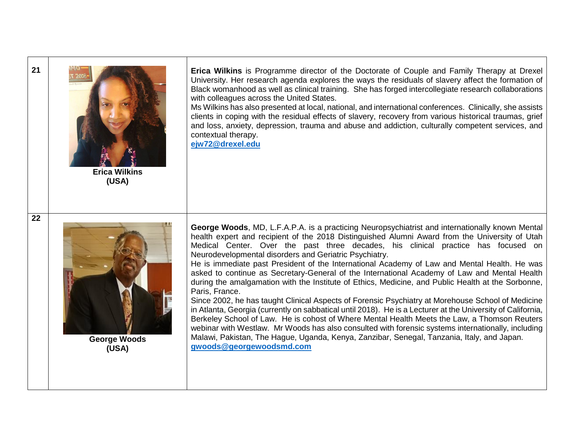**Erica Wilkins** is Programme director of the Doctorate of Couple and Family Therapy at Drexel University. Her research agenda explores the ways the residuals of slavery affect the formation of Black womanhood as well as clinical training. She has forged intercollegiate research collaborations with colleagues across the United States.

Ms Wilkins has also presented at local, national, and international conferences. Clinically, she assists clients in coping with the residual effects of slavery, recovery from various historical traumas, grief and loss, anxiety, depression, trauma and abuse and addiction, culturally competent services, and contextual therapy.

**[ejw72@drexel.edu](mailto:ejw72@drexel.edu)**

**Erica Wilkins (USA)**



**George Woods (USA)**

**George Woods**, MD, L.F.A.P.A. is a practicing Neuropsychiatrist and internationally known Mental health expert and recipient of the 2018 Distinguished Alumni Award from the University of Utah Medical Center. Over the past three decades, his clinical practice has focused on Neurodevelopmental disorders and Geriatric Psychiatry.

He is immediate past President of the International Academy of Law and Mental Health. He was asked to continue as Secretary-General of the International Academy of Law and Mental Health during the amalgamation with the Institute of Ethics, Medicine, and Public Health at the Sorbonne, Paris, France.

Since 2002, he has taught Clinical Aspects of Forensic Psychiatry at Morehouse School of Medicine in Atlanta, Georgia (currently on sabbatical until 2018). He is a Lecturer at the University of California, Berkeley School of Law. He is cohost of Where Mental Health Meets the Law, a Thomson Reuters webinar with Westlaw. Mr Woods has also consulted with forensic systems internationally, including Malawi, Pakistan, The Hague, Uganda, Kenya, Zanzibar, Senegal, Tanzania, Italy, and Japan. **[gwoods@georgewoodsmd.com](mailto:gwoods@georgewoodsmd.com)**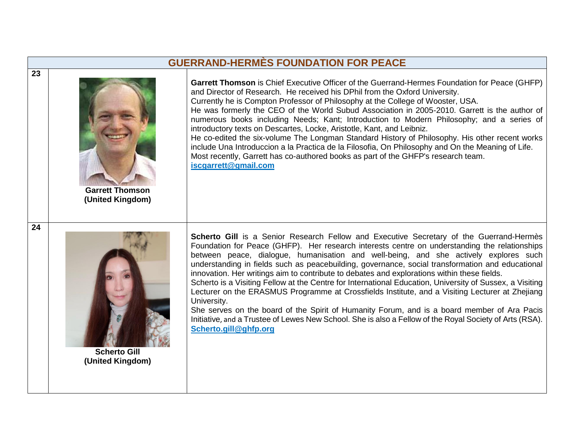## **GUERRAND-HERMÈS FOUNDATION FOR PEACE**

**Garrett Thomson** is Chief Executive Officer of the Guerrand-Hermes Foundation for Peace (GHFP) and Director of Research. He received his DPhil from the Oxford University. Currently he is Compton Professor of Philosophy at the College of Wooster, USA. He was formerly the CEO of the World Subud Association in 2005-2010. Garrett is the author of numerous books including Needs; Kant; Introduction to Modern Philosophy; and a series of introductory texts on Descartes, Locke, Aristotle, Kant, and Leibniz. He co-edited the six-volume The Longman Standard History of Philosophy. His other recent works include Una Introduccion a la Practica de la Filosofia, On Philosophy and On the Meaning of Life. Most recently, Garrett has co-authored books as part of the GHFP's research team. **[iscgarrett@gmail.com](mailto:iscgarrett@gmail.com)**

**Garrett Thomson (United Kingdom)**



**Scherto Gill (United Kingdom)**

**Scherto Gill** is a Senior Research Fellow and Executive Secretary of the [Guerrand-Hermès](http://www.ghfp.org/)  [Foundation for Peace](http://www.ghfp.org/) (GHFP). Her research interests centre on understanding the relationships between peace, dialogue, humanisation and well-being, and she actively explores such understanding in fields such as peacebuilding, governance, social transformation and educational innovation. Her writings aim to contribute to debates and explorations within these fields.

Scherto is a Visiting Fellow at the Centre for International Education, University of Sussex, a Visiting Lecturer on the ERASMUS Programme at Crossfields Institute, and a Visiting Lecturer at Zhejiang University.

She serves on the board of the [Spirit of Humanity Forum,](http://www.sohforum.org/) and is a board member of [Ara Pacis](http://arapacisinitiative.org/)  [Initiative](http://arapacisinitiative.org/), and a Trustee of Lewes New School. She is also a Fellow of the Royal Society of Arts (RSA). **[Scherto.gill@ghfp.org](mailto:Scherto.gill@ghfp.org)**

**23**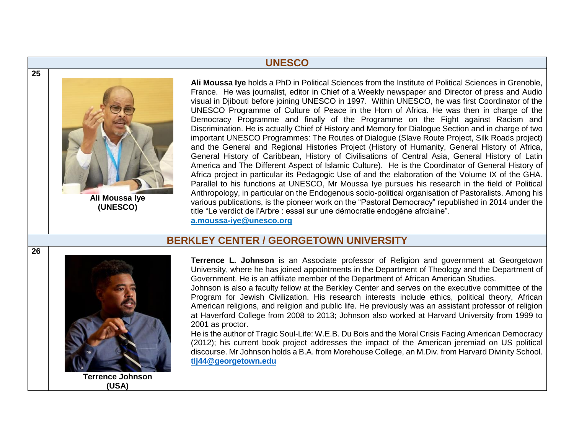### **UNESCO**



**Ali Moussa Iye (UNESCO)**

**Ali Moussa Iye** holds a PhD in Political Sciences from the Institute of Political Sciences in Grenoble, France. He was journalist, editor in Chief of a Weekly newspaper and Director of press and Audio visual in Djibouti before joining UNESCO in 1997. Within UNESCO, he was first Coordinator of the UNESCO Programme of Culture of Peace in the Horn of Africa. He was then in charge of the Democracy Programme and finally of the Programme on the Fight against Racism and Discrimination. He is actually Chief of History and Memory for Dialogue Section and in charge of two important UNESCO Programmes: The Routes of Dialogue (Slave Route Project, Silk Roads project) and the General and Regional Histories Project (History of Humanity, General History of Africa, General History of Caribbean, History of Civilisations of Central Asia, General History of Latin America and The Different Aspect of Islamic Culture). He is the Coordinator of General History of Africa project in particular its Pedagogic Use of and the elaboration of the Volume IX of the GHA. Parallel to his functions at UNESCO, Mr Moussa Iye pursues his research in the field of Political Anthropology, in particular on the Endogenous socio-political organisation of Pastoralists. Among his various publications, is the pioneer work on the "Pastoral Democracy" republished in 2014 under the title "Le verdict de l'Arbre : essai sur une démocratie endogène afrciaine". **[a.moussa-iye@unesco.org](mailto:a.moussa-iye@unesco.org)** 

## **BERKLEY CENTER / GEORGETOWN UNIVERSITY**



**Terrence L. Johnson** is an Associate professor of Religion and government at Georgetown University, where he has joined appointments in the Department of Theology and the Department of Government. He is an affiliate member of the Department of African American Studies.

Johnson is also a faculty fellow at the Berkley Center and serves on the executive committee of the Program for Jewish Civilization. His research interests include ethics, political theory, African American religions, and religion and public life. He previously was an assistant professor of religion at Haverford College from 2008 to 2013; Johnson also worked at Harvard University from 1999 to 2001 as proctor.

He is the author of Tragic Soul-Life: W.E.B. Du Bois and the Moral Crisis Facing American Democracy (2012); his current book project addresses the impact of the American jeremiad on US political discourse. Mr Johnson holds a B.A. from Morehouse College, an M.Div. from Harvard Divinity School. **tlj44@georgetown.edu**

**26**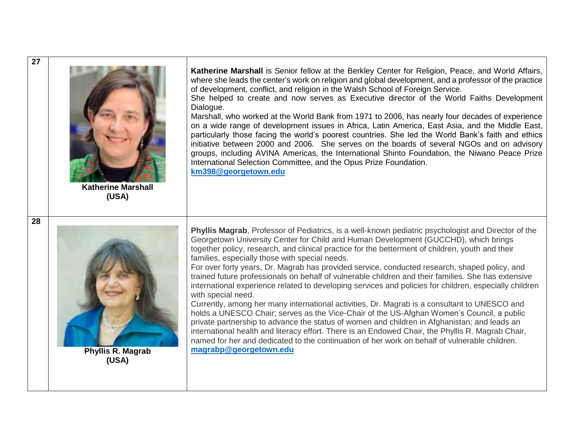| 27 | <b>Katherine Marshall</b>           | Katherine Marshall is Senior fellow at the Berkley Center for Religion, Peace, and World Affairs,<br>where she leads the center's work on religion and global development, and a professor of the practice<br>of development, conflict, and religion in the Walsh School of Foreign Service.<br>She helped to create and now serves as Executive director of the World Faiths Development<br>Dialogue.<br>Marshall, who worked at the World Bank from 1971 to 2006, has nearly four decades of experience<br>on a wide range of development issues in Africa, Latin America, East Asia, and the Middle East,<br>particularly those facing the world's poorest countries. She led the World Bank's faith and ethics<br>initiative between 2000 and 2006. She serves on the boards of several NGOs and on advisory<br>groups, including AVINA Americas, the International Shinto Foundation, the Niwano Peace Prize<br>International Selection Committee, and the Opus Prize Foundation.<br>km398@georgetown.edu                                                                                                                                                                                                        |
|----|-------------------------------------|-----------------------------------------------------------------------------------------------------------------------------------------------------------------------------------------------------------------------------------------------------------------------------------------------------------------------------------------------------------------------------------------------------------------------------------------------------------------------------------------------------------------------------------------------------------------------------------------------------------------------------------------------------------------------------------------------------------------------------------------------------------------------------------------------------------------------------------------------------------------------------------------------------------------------------------------------------------------------------------------------------------------------------------------------------------------------------------------------------------------------------------------------------------------------------------------------------------------------|
| 28 | (USA)<br>Phyllis R. Magrab<br>(USA) | Phyllis Magrab, Professor of Pediatrics, is a well-known pediatric psychologist and Director of the<br>Georgetown University Center for Child and Human Development (GUCCHD), which brings<br>together policy, research, and clinical practice for the betterment of children, youth and their<br>families, especially those with special needs.<br>For over forty years, Dr. Magrab has provided service, conducted research, shaped policy, and<br>trained future professionals on behalf of vulnerable children and their families. She has extensive<br>international experience related to developing services and policies for children, especially children<br>with special need.<br>Currently, among her many international activities, Dr. Magrab is a consultant to UNESCO and<br>holds a UNESCO Chair; serves as the Vice-Chair of the US-Afghan Women's Council, a public<br>private partnership to advance the status of women and children in Afghanistan; and leads an<br>international health and literacy effort. There is an Endowed Chair, the Phyllis R. Magrab Chair,<br>named for her and dedicated to the continuation of her work on behalf of vulnerable children.<br>magrabp@georgetown.edu |